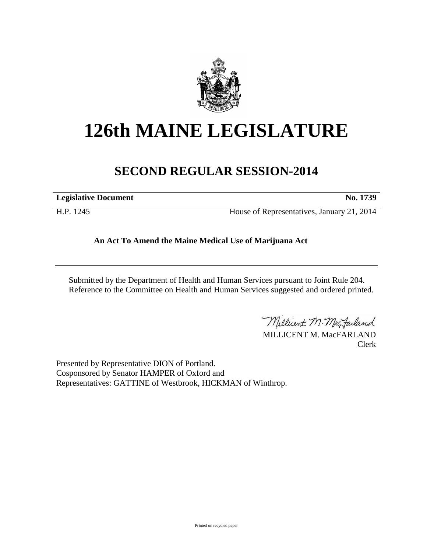

# **126th MAINE LEGISLATURE**

## **SECOND REGULAR SESSION-2014**

**Legislative Document No. 1739**

H.P. 1245 House of Representatives, January 21, 2014

**An Act To Amend the Maine Medical Use of Marijuana Act**

Submitted by the Department of Health and Human Services pursuant to Joint Rule 204. Reference to the Committee on Health and Human Services suggested and ordered printed.

Millicent M. MacJarland

MILLICENT M. MacFARLAND Clerk

Presented by Representative DION of Portland. Cosponsored by Senator HAMPER of Oxford and Representatives: GATTINE of Westbrook, HICKMAN of Winthrop.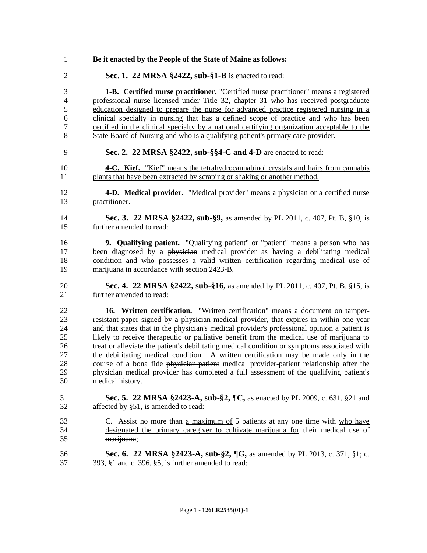**Be it enacted by the People of the State of Maine as follows: Sec. 1. 22 MRSA §2422, sub-§1-B** is enacted to read: **1-B. Certified nurse practitioner.** "Certified nurse practitioner" means a registered professional nurse licensed under Title 32, chapter 31 who has received postgraduate education designed to prepare the nurse for advanced practice registered nursing in a clinical specialty in nursing that has a defined scope of practice and who has been certified in the clinical specialty by a national certifying organization acceptable to the State Board of Nursing and who is a qualifying patient's primary care provider. **Sec. 2. 22 MRSA §2422, sub-§§4-C and 4-D** are enacted to read: **4-C. Kief.** "Kief" means the tetrahydrocannabinol crystals and hairs from cannabis plants that have been extracted by scraping or shaking or another method. **4-D. Medical provider.** "Medical provider" means a physician or a certified nurse practitioner. **Sec. 3. 22 MRSA §2422, sub-§9,** as amended by PL 2011, c. 407, Pt. B, §10, is further amended to read: **9. Qualifying patient.** "Qualifying patient" or "patient" means a person who has been diagnosed by a physician medical provider as having a debilitating medical condition and who possesses a valid written certification regarding medical use of marijuana in accordance with section 2423-B. **Sec. 4. 22 MRSA §2422, sub-§16,** as amended by PL 2011, c. 407, Pt. B, §15, is further amended to read: **16. Written certification.** "Written certification" means a document on tamper-23 resistant paper signed by a physician medical provider, that expires in within one year and that states that in the physician's medical provider's professional opinion a patient is likely to receive therapeutic or palliative benefit from the medical use of marijuana to treat or alleviate the patient's debilitating medical condition or symptoms associated with the debilitating medical condition. A written certification may be made only in the course of a bona fide physician-patient medical provider-patient relationship after the physician medical provider has completed a full assessment of the qualifying patient's medical history. **Sec. 5. 22 MRSA §2423-A, sub-§2, ¶C,** as enacted by PL 2009, c. 631, §21 and affected by §51, is amended to read: 33 C. Assist no more than a maximum of 5 patients at any one time with who have designated the primary caregiver to cultivate marijuana for their medical use of marijuana; **Sec. 6. 22 MRSA §2423-A, sub-§2, ¶G,** as amended by PL 2013, c. 371, §1; c. 393, §1 and c. 396, §5, is further amended to read: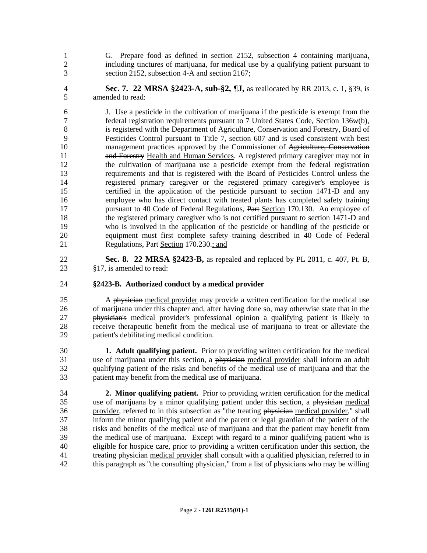G. Prepare food as defined in section 2152, subsection 4 containing marijuana, including tinctures of marijuana, for medical use by a qualifying patient pursuant to section 2152, subsection 4-A and section 2167;

 **Sec. 7. 22 MRSA §2423-A, sub-§2, ¶J,** as reallocated by RR 2013, c. 1, §39, is amended to read:

 J. Use a pesticide in the cultivation of marijuana if the pesticide is exempt from the federal registration requirements pursuant to 7 United States Code, Section 136w(b), is registered with the Department of Agriculture, Conservation and Forestry, Board of Pesticides Control pursuant to Title 7, section 607 and is used consistent with best management practices approved by the Commissioner of Agriculture, Conservation **and Forestry Health and Human Services.** A registered primary caregiver may not in the cultivation of marijuana use a pesticide exempt from the federal registration requirements and that is registered with the Board of Pesticides Control unless the registered primary caregiver or the registered primary caregiver's employee is certified in the application of the pesticide pursuant to section 1471-D and any employee who has direct contact with treated plants has completed safety training pursuant to 40 Code of Federal Regulations, Part Section 170.130. An employee of the registered primary caregiver who is not certified pursuant to section 1471-D and who is involved in the application of the pesticide or handling of the pesticide or equipment must first complete safety training described in 40 Code of Federal 21 Regulations, Part Section 170.230-; and

 **Sec. 8. 22 MRSA §2423-B,** as repealed and replaced by PL 2011, c. 407, Pt. B, §17, is amended to read:

### **§2423-B. Authorized conduct by a medical provider**

25 A physician medical provider may provide a written certification for the medical use of marijuana under this chapter and, after having done so, may otherwise state that in the physician's medical provider's professional opinion a qualifying patient is likely to receive therapeutic benefit from the medical use of marijuana to treat or alleviate the patient's debilitating medical condition.

 **1. Adult qualifying patient.** Prior to providing written certification for the medical 31 use of marijuana under this section, a physician medical provider shall inform an adult qualifying patient of the risks and benefits of the medical use of marijuana and that the patient may benefit from the medical use of marijuana.

 **2. Minor qualifying patient.** Prior to providing written certification for the medical use of marijuana by a minor qualifying patient under this section, a physician medical 36 provider, referred to in this subsection as "the treating physician medical provider," shall inform the minor qualifying patient and the parent or legal guardian of the patient of the risks and benefits of the medical use of marijuana and that the patient may benefit from the medical use of marijuana. Except with regard to a minor qualifying patient who is eligible for hospice care, prior to providing a written certification under this section, the 41 treating physician medical provider shall consult with a qualified physician, referred to in this paragraph as "the consulting physician," from a list of physicians who may be willing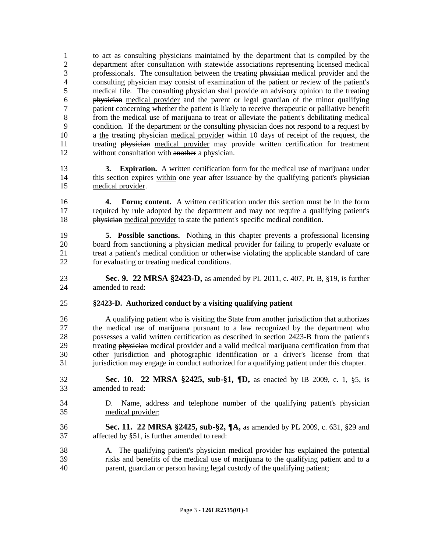to act as consulting physicians maintained by the department that is compiled by the department after consultation with statewide associations representing licensed medical 3 professionals. The consultation between the treating physician medical provider and the consulting physician may consist of examination of the patient or review of the patient's medical file. The consulting physician shall provide an advisory opinion to the treating physician medical provider and the parent or legal guardian of the minor qualifying patient concerning whether the patient is likely to receive therapeutic or palliative benefit from the medical use of marijuana to treat or alleviate the patient's debilitating medical condition. If the department or the consulting physician does not respond to a request by 10 a the treating physician medical provider within 10 days of receipt of the request, the treating physician medical provider may provide written certification for treatment without consultation with another a physician.

- **3. Expiration.** A written certification form for the medical use of marijuana under 14 this section expires within one year after issuance by the qualifying patient's physician medical provider.
- **4. Form; content.** A written certification under this section must be in the form required by rule adopted by the department and may not require a qualifying patient's physician medical provider to state the patient's specific medical condition.
- **5. Possible sanctions.** Nothing in this chapter prevents a professional licensing 20 board from sanctioning a physician medical provider for failing to properly evaluate or 21 treat a patient's medical condition or otherwise violating the applicable standard of care<br>22 for evaluating or treating medical conditions. for evaluating or treating medical conditions.
- **Sec. 9. 22 MRSA §2423-D,** as amended by PL 2011, c. 407, Pt. B, §19, is further amended to read:

### **§2423-D. Authorized conduct by a visiting qualifying patient**

 A qualifying patient who is visiting the State from another jurisdiction that authorizes the medical use of marijuana pursuant to a law recognized by the department who possesses a valid written certification as described in section 2423-B from the patient's treating physician medical provider and a valid medical marijuana certification from that other jurisdiction and photographic identification or a driver's license from that jurisdiction may engage in conduct authorized for a qualifying patient under this chapter.

- **Sec. 10. 22 MRSA §2425, sub-§1, ¶D,** as enacted by IB 2009, c. 1, §5, is amended to read:
- 34 D. Name, address and telephone number of the qualifying patient's physician medical provider;
- **Sec. 11. 22 MRSA §2425, sub-§2, ¶A,** as amended by PL 2009, c. 631, §29 and affected by §51, is further amended to read:
- 38 A. The qualifying patient's physician medical provider has explained the potential risks and benefits of the medical use of marijuana to the qualifying patient and to a parent, guardian or person having legal custody of the qualifying patient;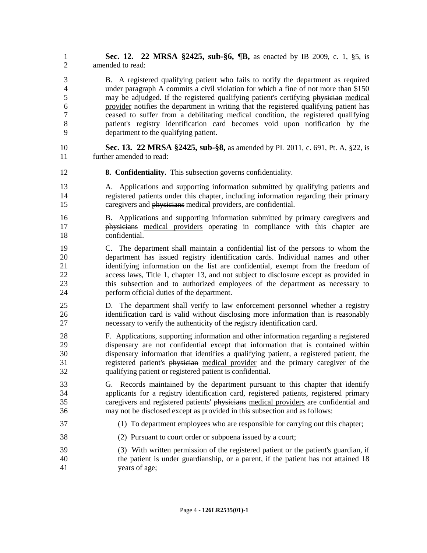**Sec. 12. 22 MRSA §2425, sub-§6, ¶B,** as enacted by IB 2009, c. 1, §5, is amended to read:

 B. A registered qualifying patient who fails to notify the department as required under paragraph A commits a civil violation for which a fine of not more than \$150 5 may be adjudged. If the registered qualifying patient's certifying physician medical provider notifies the department in writing that the registered qualifying patient has ceased to suffer from a debilitating medical condition, the registered qualifying patient's registry identification card becomes void upon notification by the department to the qualifying patient.

- **Sec. 13. 22 MRSA §2425, sub-§8,** as amended by PL 2011, c. 691, Pt. A, §22, is further amended to read:
- **8. Confidentiality.** This subsection governs confidentiality.
- A. Applications and supporting information submitted by qualifying patients and registered patients under this chapter, including information regarding their primary caregivers and physicians medical providers, are confidential.
- B. Applications and supporting information submitted by primary caregivers and physicians medical providers operating in compliance with this chapter are confidential.
- C. The department shall maintain a confidential list of the persons to whom the department has issued registry identification cards. Individual names and other identifying information on the list are confidential, exempt from the freedom of access laws, Title 1, chapter 13, and not subject to disclosure except as provided in this subsection and to authorized employees of the department as necessary to perform official duties of the department.
- D. The department shall verify to law enforcement personnel whether a registry identification card is valid without disclosing more information than is reasonably necessary to verify the authenticity of the registry identification card.
- F. Applications, supporting information and other information regarding a registered dispensary are not confidential except that information that is contained within dispensary information that identifies a qualifying patient, a registered patient, the registered patient's physician medical provider and the primary caregiver of the qualifying patient or registered patient is confidential.
- G. Records maintained by the department pursuant to this chapter that identify applicants for a registry identification card, registered patients, registered primary caregivers and registered patients' physicians medical providers are confidential and may not be disclosed except as provided in this subsection and as follows:
- (1) To department employees who are responsible for carrying out this chapter;
- (2) Pursuant to court order or subpoena issued by a court;
- (3) With written permission of the registered patient or the patient's guardian, if the patient is under guardianship, or a parent, if the patient has not attained 18 years of age;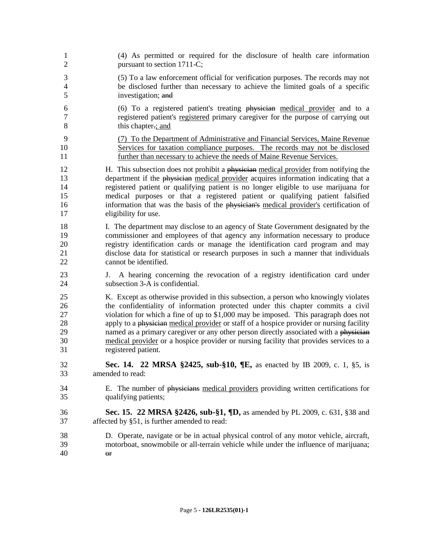| 1                        | (4) As permitted or required for the disclosure of health care information                                           |
|--------------------------|----------------------------------------------------------------------------------------------------------------------|
| $\overline{2}$           | pursuant to section 1711-C;                                                                                          |
| 3                        | (5) To a law enforcement official for verification purposes. The records may not                                     |
| $\overline{\mathcal{A}}$ | be disclosed further than necessary to achieve the limited goals of a specific                                       |
| 5                        | investigation; and                                                                                                   |
| 6                        | (6) To a registered patient's treating physician medical provider and to a                                           |
| $\overline{7}$           | registered patient's registered primary caregiver for the purpose of carrying out                                    |
| 8                        | this chapter.; and                                                                                                   |
| 9                        | (7) To the Department of Administrative and Financial Services, Maine Revenue                                        |
| 10                       | Services for taxation compliance purposes. The records may not be disclosed                                          |
| 11                       | further than necessary to achieve the needs of Maine Revenue Services.                                               |
| 12                       | H. This subsection does not prohibit a physician medical provider from notifying the                                 |
| 13                       | department if the physician medical provider acquires information indicating that a                                  |
| 14                       | registered patient or qualifying patient is no longer eligible to use marijuana for                                  |
| 15                       | medical purposes or that a registered patient or qualifying patient falsified                                        |
| 16                       | information that was the basis of the physician's medical provider's certification of                                |
| 17                       | eligibility for use.                                                                                                 |
| 18                       | I. The department may disclose to an agency of State Government designated by the                                    |
| 19                       | commissioner and employees of that agency any information necessary to produce                                       |
| 20                       | registry identification cards or manage the identification card program and may                                      |
| 21                       | disclose data for statistical or research purposes in such a manner that individuals                                 |
| 22                       | cannot be identified.                                                                                                |
| 23<br>24                 | A hearing concerning the revocation of a registry identification card under<br>J.<br>subsection 3-A is confidential. |
| 25                       | K. Except as otherwise provided in this subsection, a person who knowingly violates                                  |
| 26                       | the confidentiality of information protected under this chapter commits a civil                                      |
| 27                       | violation for which a fine of up to \$1,000 may be imposed. This paragraph does not                                  |
| 28                       | apply to a physician medical provider or staff of a hospice provider or nursing facility                             |
| 29                       | named as a primary caregiver or any other person directly associated with a physician                                |
| 30                       | medical provider or a hospice provider or nursing facility that provides services to a                               |
| 31                       | registered patient.                                                                                                  |
| 32                       | Sec. 14. 22 MRSA §2425, sub-§10, ¶E, as enacted by IB 2009, c. 1, §5, is                                             |
| 33                       | amended to read:                                                                                                     |
| 34                       | E. The number of physicians medical providers providing written certifications for                                   |
| 35                       | qualifying patients;                                                                                                 |
| 36                       | <b>Sec. 15. 22 MRSA §2426, sub-§1, <math>\P</math>D,</b> as amended by PL 2009, c. 631, §38 and                      |
| 37                       | affected by §51, is further amended to read:                                                                         |
| 38                       | D. Operate, navigate or be in actual physical control of any motor vehicle, aircraft,                                |
| 39                       | motorboat, snowmobile or all-terrain vehicle while under the influence of marijuana;                                 |
| 40                       | $\Theta$ f                                                                                                           |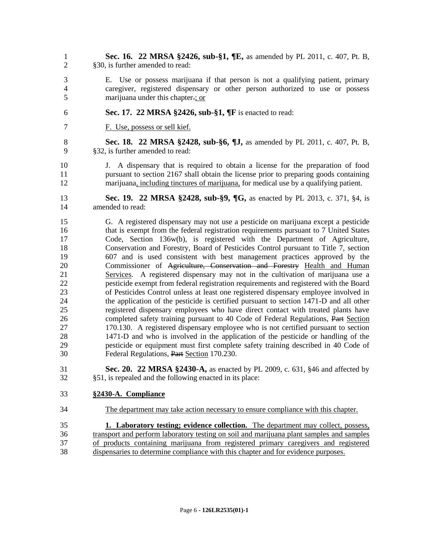- **Sec. 16. 22 MRSA §2426, sub-§1, ¶E,** as amended by PL 2011, c. 407, Pt. B, §30, is further amended to read:
- E. Use or possess marijuana if that person is not a qualifying patient, primary caregiver, registered dispensary or other person authorized to use or possess marijuana under this chapter.; or
- **Sec. 17. 22 MRSA §2426, sub-§1, ¶F** is enacted to read:
- F. Use, possess or sell kief.
- **Sec. 18. 22 MRSA §2428, sub-§6, ¶J,** as amended by PL 2011, c. 407, Pt. B, §32, is further amended to read:
- J. A dispensary that is required to obtain a license for the preparation of food pursuant to section 2167 shall obtain the license prior to preparing goods containing marijuana, including tinctures of marijuana, for medical use by a qualifying patient.
- **Sec. 19. 22 MRSA §2428, sub-§9, ¶G,** as enacted by PL 2013, c. 371, §4, is amended to read:
- G. A registered dispensary may not use a pesticide on marijuana except a pesticide that is exempt from the federal registration requirements pursuant to 7 United States Code, Section 136w(b), is registered with the Department of Agriculture, Conservation and Forestry, Board of Pesticides Control pursuant to Title 7, section 607 and is used consistent with best management practices approved by the 20 Commissioner of Agriculture, Conservation and Forestry Health and Human Services. A registered dispensary may not in the cultivation of marijuana use a pesticide exempt from federal registration requirements and registered with the Board of Pesticides Control unless at least one registered dispensary employee involved in the application of the pesticide is certified pursuant to section 1471-D and all other registered dispensary employees who have direct contact with treated plants have 26 completed safety training pursuant to 40 Code of Federal Regulations, Part Section 170.130. A registered dispensary employee who is not certified pursuant to section 1471-D and who is involved in the application of the pesticide or handling of the pesticide or equipment must first complete safety training described in 40 Code of Federal Regulations, Part Section 170.230.
- **Sec. 20. 22 MRSA §2430-A,** as enacted by PL 2009, c. 631, §46 and affected by §51, is repealed and the following enacted in its place:
- **§2430-A. Compliance**
- The department may take action necessary to ensure compliance with this chapter.
- **1. Laboratory testing; evidence collection.** The department may collect, possess, transport and perform laboratory testing on soil and marijuana plant samples and samples of products containing marijuana from registered primary caregivers and registered dispensaries to determine compliance with this chapter and for evidence purposes.